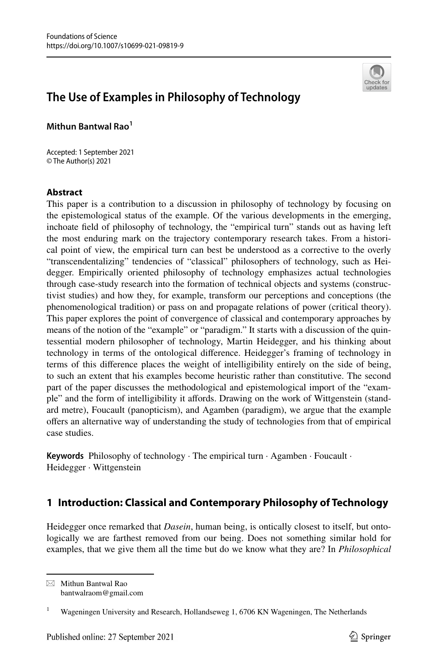

# **The Use of Examples in Philosophy of Technology**

**Mithun Bantwal Rao1**

Accepted: 1 September 2021 © The Author(s) 2021

#### **Abstract**

This paper is a contribution to a discussion in philosophy of technology by focusing on the epistemological status of the example. Of the various developments in the emerging, inchoate feld of philosophy of technology, the "empirical turn" stands out as having left the most enduring mark on the trajectory contemporary research takes. From a historical point of view, the empirical turn can best be understood as a corrective to the overly "transcendentalizing" tendencies of "classical" philosophers of technology, such as Heidegger. Empirically oriented philosophy of technology emphasizes actual technologies through case-study research into the formation of technical objects and systems (constructivist studies) and how they, for example, transform our perceptions and conceptions (the phenomenological tradition) or pass on and propagate relations of power (critical theory). This paper explores the point of convergence of classical and contemporary approaches by means of the notion of the "example" or "paradigm." It starts with a discussion of the quintessential modern philosopher of technology, Martin Heidegger, and his thinking about technology in terms of the ontological diference. Heidegger's framing of technology in terms of this diference places the weight of intelligibility entirely on the side of being, to such an extent that his examples become heuristic rather than constitutive. The second part of the paper discusses the methodological and epistemological import of the "example" and the form of intelligibility it afords. Drawing on the work of Wittgenstein (standard metre), Foucault (panopticism), and Agamben (paradigm), we argue that the example ofers an alternative way of understanding the study of technologies from that of empirical case studies.

**Keywords** Philosophy of technology · The empirical turn · Agamben · Foucault · Heidegger · Wittgenstein

## **1 Introduction: Classical and Contemporary Philosophy of Technology**

Heidegger once remarked that *Dasein*, human being, is ontically closest to itself, but ontologically we are farthest removed from our being. Does not something similar hold for examples, that we give them all the time but do we know what they are? In *Philosophical* 

 $\boxtimes$  Mithun Bantwal Rao bantwalraom@gmail.com

<sup>&</sup>lt;sup>1</sup> Wageningen University and Research, Hollandseweg 1, 6706 KN Wageningen, The Netherlands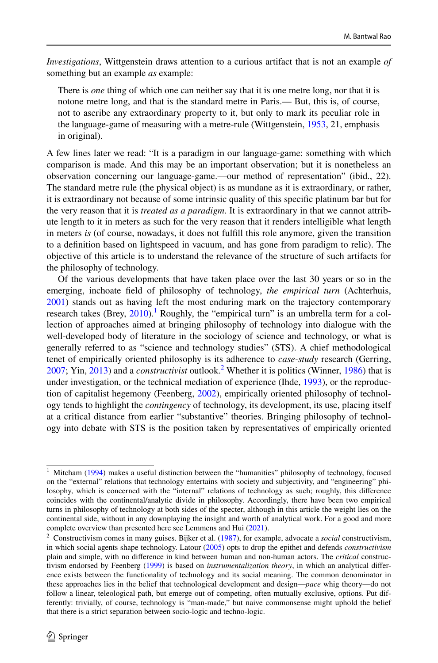*Investigations*, Wittgenstein draws attention to a curious artifact that is not an example *of* something but an example *as* example:

There is *one* thing of which one can neither say that it is one metre long, nor that it is notone metre long, and that is the standard metre in Paris.— But, this is, of course, not to ascribe any extraordinary property to it, but only to mark its peculiar role in the language-game of measuring with a metre-rule (Wittgenstein, [1953](#page-21-0), 21, emphasis in original).

A few lines later we read: "It is a paradigm in our language-game: something with which comparison is made. And this may be an important observation; but it is nonetheless an observation concerning our language-game.—our method of representation" (ibid., 22). The standard metre rule (the physical object) is as mundane as it is extraordinary, or rather, it is extraordinary not because of some intrinsic quality of this specifc platinum bar but for the very reason that it is *treated as a paradigm*. It is extraordinary in that we cannot attribute length to it in meters as such for the very reason that it renders intelligible what length in meters *is* (of course, nowadays, it does not fulfll this role anymore, given the transition to a defnition based on lightspeed in vacuum, and has gone from paradigm to relic). The objective of this article is to understand the relevance of the structure of such artifacts for the philosophy of technology.

Of the various developments that have taken place over the last 30 years or so in the emerging, inchoate feld of philosophy of technology, *the empirical turn* (Achterhuis, [2001\)](#page-19-0) stands out as having left the most enduring mark on the trajectory contemporary research takes (Brey, [2010\)](#page-20-0).<sup>1</sup> Roughly, the "empirical turn" is an umbrella term for a collection of approaches aimed at bringing philosophy of technology into dialogue with the well-developed body of literature in the sociology of science and technology, or what is generally referred to as "science and technology studies" (STS). A chief methodological tenet of empirically oriented philosophy is its adherence to *case-study* research (Gerring, [2007;](#page-20-1) Yin, [2013\)](#page-22-0) and a *constructivist* outlook.<sup>[2](#page-1-1)</sup> Whether it is politics (Winner, [1986](#page-21-1)) that is under investigation, or the technical mediation of experience (Ihde, [1993](#page-20-2)), or the reproduction of capitalist hegemony (Feenberg, [2002](#page-20-3)), empirically oriented philosophy of technology tends to highlight the *contingency* of technology, its development, its use, placing itself at a critical distance from earlier "substantive" theories. Bringing philosophy of technology into debate with STS is the position taken by representatives of empirically oriented

<span id="page-1-0"></span><sup>&</sup>lt;sup>1</sup> Mitcham [\(1994](#page-21-2)) makes a useful distinction between the "humanities" philosophy of technology, focused on the "external" relations that technology entertains with society and subjectivity, and "engineering" philosophy, which is concerned with the "internal" relations of technology as such; roughly, this diference coincides with the continental/analytic divide in philosophy. Accordingly, there have been two empirical turns in philosophy of technology at both sides of the specter, although in this article the weight lies on the continental side, without in any downplaying the insight and worth of analytical work. For a good and more complete overview than presented here see Lemmens and Hui ([2021\)](#page-21-3).

<span id="page-1-1"></span><sup>2</sup> Constructivism comes in many guises. Bijker et al. [\(1987](#page-20-4)), for example, advocate a *social* constructivism, in which social agents shape technology. Latour ([2005\)](#page-21-4) opts to drop the epithet and defends *constructivism* plain and simple, with no diference in kind between human and non-human actors. The *critical* constructivism endorsed by Feenberg ([1999\)](#page-20-5) is based on *instrumentalization theory*, in which an analytical diference exists between the functionality of technology and its social meaning. The common denominator in these approaches lies in the belief that technological development and design—*pace* whig theory—do not follow a linear, teleological path, but emerge out of competing, often mutually exclusive, options. Put differently: trivially, of course, technology is "man-made," but naive commonsense might uphold the belief that there is a strict separation between socio-logic and techno-logic.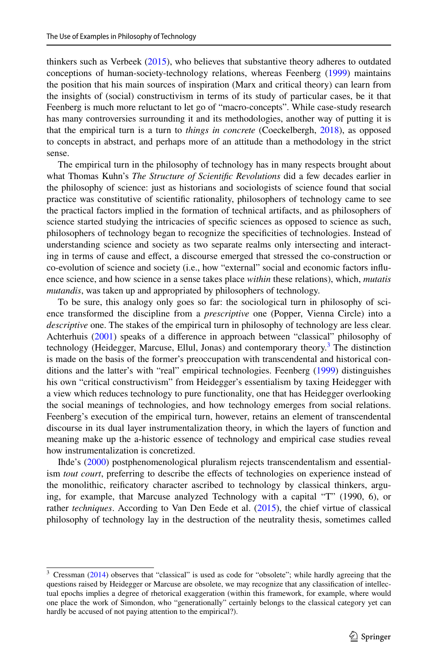thinkers such as Verbeek [\(2015](#page-21-5)), who believes that substantive theory adheres to outdated conceptions of human-society-technology relations, whereas Feenberg [\(1999](#page-20-5)) maintains the position that his main sources of inspiration (Marx and critical theory) can learn from the insights of (social) constructivism in terms of its study of particular cases, be it that Feenberg is much more reluctant to let go of "macro-concepts". While case-study research has many controversies surrounding it and its methodologies, another way of putting it is that the empirical turn is a turn to *things in concrete* (Coeckelbergh, [2018](#page-20-6)), as opposed to concepts in abstract, and perhaps more of an attitude than a methodology in the strict sense.

The empirical turn in the philosophy of technology has in many respects brought about what Thomas Kuhn's *The Structure of Scientifc Revolutions* did a few decades earlier in the philosophy of science: just as historians and sociologists of science found that social practice was constitutive of scientifc rationality, philosophers of technology came to see the practical factors implied in the formation of technical artifacts, and as philosophers of science started studying the intricacies of specifc sciences as opposed to science as such, philosophers of technology began to recognize the specifcities of technologies. Instead of understanding science and society as two separate realms only intersecting and interacting in terms of cause and efect, a discourse emerged that stressed the co-construction or co-evolution of science and society (i.e., how "external" social and economic factors infuence science, and how science in a sense takes place *within* these relations), which, *mutatis mutandis*, was taken up and appropriated by philosophers of technology.

To be sure, this analogy only goes so far: the sociological turn in philosophy of science transformed the discipline from a *prescriptive* one (Popper, Vienna Circle) into a *descriptive* one. The stakes of the empirical turn in philosophy of technology are less clear. Achterhuis ([2001\)](#page-19-0) speaks of a diference in approach between "classical" philosophy of technology (Heidegger, Marcuse, Ellul, Jonas) and contemporary theory.<sup>[3](#page-2-0)</sup> The distinction is made on the basis of the former's preoccupation with transcendental and historical conditions and the latter's with "real" empirical technologies. Feenberg ([1999\)](#page-20-5) distinguishes his own "critical constructivism" from Heidegger's essentialism by taxing Heidegger with a view which reduces technology to pure functionality, one that has Heidegger overlooking the social meanings of technologies, and how technology emerges from social relations. Feenberg's execution of the empirical turn, however, retains an element of transcendental discourse in its dual layer instrumentalization theory, in which the layers of function and meaning make up the a-historic essence of technology and empirical case studies reveal how instrumentalization is concretized.

Ihde's [\(2000](#page-20-7)) postphenomenological pluralism rejects transcendentalism and essentialism *tout court*, preferring to describe the efects of technologies on experience instead of the monolithic, reifcatory character ascribed to technology by classical thinkers, arguing, for example, that Marcuse analyzed Technology with a capital "T" (1990, 6), or rather *techniques*. According to Van Den Eede et al. [\(2015](#page-21-6)), the chief virtue of classical philosophy of technology lay in the destruction of the neutrality thesis, sometimes called

<span id="page-2-0"></span><sup>&</sup>lt;sup>3</sup> Cressman [\(2014](#page-20-8)) observes that "classical" is used as code for "obsolete"; while hardly agreeing that the questions raised by Heidegger or Marcuse are obsolete, we may recognize that any classifcation of intellectual epochs implies a degree of rhetorical exaggeration (within this framework, for example, where would one place the work of Simondon, who "generationally" certainly belongs to the classical category yet can hardly be accused of not paying attention to the empirical?).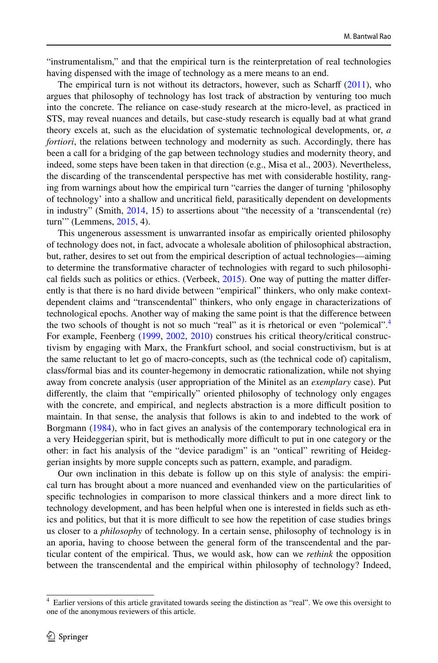"instrumentalism," and that the empirical turn is the reinterpretation of real technologies having dispensed with the image of technology as a mere means to an end.

The empirical turn is not without its detractors, however, such as Scharf ([2011\)](#page-21-7), who argues that philosophy of technology has lost track of abstraction by venturing too much into the concrete. The reliance on case-study research at the micro-level, as practiced in STS, may reveal nuances and details, but case-study research is equally bad at what grand theory excels at, such as the elucidation of systematic technological developments, or, *a fortiori*, the relations between technology and modernity as such. Accordingly, there has been a call for a bridging of the gap between technology studies and modernity theory, and indeed, some steps have been taken in that direction (e.g., Misa et al., 2003). Nevertheless, the discarding of the transcendental perspective has met with considerable hostility, ranging from warnings about how the empirical turn "carries the danger of turning 'philosophy of technology' into a shallow and uncritical feld, parasitically dependent on developments in industry" (Smith, [2014](#page-21-8), 15) to assertions about "the necessity of a 'transcendental (re) turn'" (Lemmens, [2015](#page-21-9), 4).

This ungenerous assessment is unwarranted insofar as empirically oriented philosophy of technology does not, in fact, advocate a wholesale abolition of philosophical abstraction, but, rather, desires to set out from the empirical description of actual technologies—aiming to determine the transformative character of technologies with regard to such philosophical felds such as politics or ethics. (Verbeek, [2015](#page-21-5)). One way of putting the matter diferently is that there is no hard divide between "empirical" thinkers, who only make contextdependent claims and "transcendental" thinkers, who only engage in characterizations of technological epochs. Another way of making the same point is that the diference between the two schools of thought is not so much "real" as it is rhetorical or even "polemical".<sup>[4](#page-3-0)</sup> For example, Feenberg [\(1999](#page-20-5), [2002,](#page-20-3) [2010](#page-20-9)) construes his critical theory/critical constructivism by engaging with Marx, the Frankfurt school, and social constructivism, but is at the same reluctant to let go of macro-concepts, such as (the technical code of) capitalism, class/formal bias and its counter-hegemony in democratic rationalization, while not shying away from concrete analysis (user appropriation of the Minitel as an *exemplary* case). Put diferently, the claim that "empirically" oriented philosophy of technology only engages with the concrete, and empirical, and neglects abstraction is a more difficult position to maintain. In that sense, the analysis that follows is akin to and indebted to the work of Borgmann ([1984\)](#page-20-10), who in fact gives an analysis of the contemporary technological era in a very Heideggerian spirit, but is methodically more difficult to put in one category or the other: in fact his analysis of the "device paradigm" is an "ontical" rewriting of Heideggerian insights by more supple concepts such as pattern, example, and paradigm.

Our own inclination in this debate is follow up on this style of analysis: the empirical turn has brought about a more nuanced and evenhanded view on the particularities of specifc technologies in comparison to more classical thinkers and a more direct link to technology development, and has been helpful when one is interested in felds such as ethics and politics, but that it is more difficult to see how the repetition of case studies brings us closer to a *philosophy* of technology. In a certain sense, philosophy of technology is in an aporia, having to choose between the general form of the transcendental and the particular content of the empirical. Thus, we would ask, how can we *rethink* the opposition between the transcendental and the empirical within philosophy of technology? Indeed,

<span id="page-3-0"></span><sup>&</sup>lt;sup>4</sup> Earlier versions of this article gravitated towards seeing the distinction as "real". We owe this oversight to one of the anonymous reviewers of this article.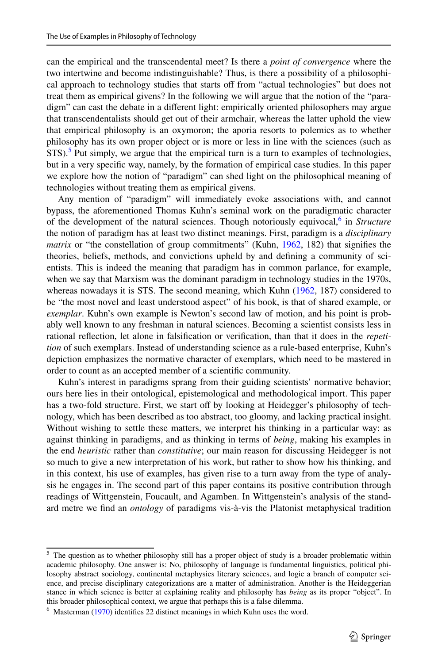can the empirical and the transcendental meet? Is there a *point of convergence* where the two intertwine and become indistinguishable? Thus, is there a possibility of a philosophical approach to technology studies that starts off from "actual technologies" but does not treat them as empirical givens? In the following we will argue that the notion of the "paradigm" can cast the debate in a diferent light: empirically oriented philosophers may argue that transcendentalists should get out of their armchair, whereas the latter uphold the view that empirical philosophy is an oxymoron; the aporia resorts to polemics as to whether philosophy has its own proper object or is more or less in line with the sciences (such as  $STS$ ).<sup>5</sup> Put simply, we argue that the empirical turn is a turn to examples of technologies, but in a very specifc way, namely, by the formation of empirical case studies. In this paper we explore how the notion of "paradigm" can shed light on the philosophical meaning of technologies without treating them as empirical givens.

Any mention of "paradigm" will immediately evoke associations with, and cannot bypass, the aforementioned Thomas Kuhn's seminal work on the paradigmatic character of the development of the natural sciences. Though notoriously equivocal,<sup>[6](#page-4-1)</sup> in *Structure* the notion of paradigm has at least two distinct meanings. First, paradigm is a *disciplinary matrix* or "the constellation of group commitments" (Kuhn, [1962,](#page-21-10) 182) that signifies the theories, beliefs, methods, and convictions upheld by and defning a community of scientists. This is indeed the meaning that paradigm has in common parlance, for example, when we say that Marxism was the dominant paradigm in technology studies in the 1970s, whereas nowadays it is STS. The second meaning, which Kuhn ([1962,](#page-21-10) 187) considered to be "the most novel and least understood aspect" of his book, is that of shared example, or *exemplar*. Kuhn's own example is Newton's second law of motion, and his point is probably well known to any freshman in natural sciences. Becoming a scientist consists less in rational refection, let alone in falsifcation or verifcation, than that it does in the *repetition* of such exemplars. Instead of understanding science as a rule-based enterprise, Kuhn's depiction emphasizes the normative character of exemplars, which need to be mastered in order to count as an accepted member of a scientifc community.

Kuhn's interest in paradigms sprang from their guiding scientists' normative behavior; ours here lies in their ontological, epistemological and methodological import. This paper has a two-fold structure. First, we start off by looking at Heidegger's philosophy of technology, which has been described as too abstract, too gloomy, and lacking practical insight. Without wishing to settle these matters, we interpret his thinking in a particular way: as against thinking in paradigms, and as thinking in terms of *being*, making his examples in the end *heuristic* rather than *constitutive*; our main reason for discussing Heidegger is not so much to give a new interpretation of his work, but rather to show how his thinking, and in this context, his use of examples, has given rise to a turn away from the type of analysis he engages in. The second part of this paper contains its positive contribution through readings of Wittgenstein, Foucault, and Agamben. In Wittgenstein's analysis of the standard metre we fnd an *ontology* of paradigms vis-à-vis the Platonist metaphysical tradition

<span id="page-4-0"></span> $<sup>5</sup>$  The question as to whether philosophy still has a proper object of study is a broader problematic within</sup> academic philosophy. One answer is: No, philosophy of language is fundamental linguistics, political philosophy abstract sociology, continental metaphysics literary sciences, and logic a branch of computer science, and precise disciplinary categorizations are a matter of administration. Another is the Heideggerian stance in which science is better at explaining reality and philosophy has *being* as its proper "object". In this broader philosophical context, we argue that perhaps this is a false dilemma.

<span id="page-4-1"></span><sup>&</sup>lt;sup>6</sup> Masterman [\(1970](#page-21-11)) identifies 22 distinct meanings in which Kuhn uses the word.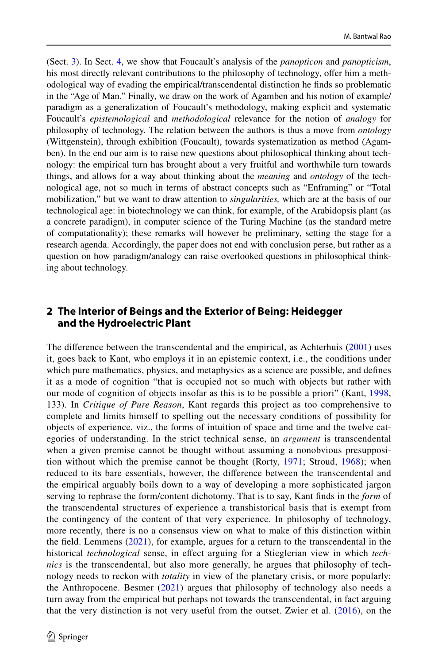(Sect. [3](#page-9-0)). In Sect. [4,](#page-12-0) we show that Foucault's analysis of the *panopticon* and *panopticism*, his most directly relevant contributions to the philosophy of technology, ofer him a methodological way of evading the empirical/transcendental distinction he fnds so problematic in the "Age of Man." Finally, we draw on the work of Agamben and his notion of example/ paradigm as a generalization of Foucault's methodology, making explicit and systematic Foucault's *epistemological* and *methodological* relevance for the notion of *analogy* for philosophy of technology. The relation between the authors is thus a move from *ontology* (Wittgenstein), through exhibition (Foucault), towards systematization as method (Agamben). In the end our aim is to raise new questions about philosophical thinking about technology: the empirical turn has brought about a very fruitful and worthwhile turn towards things, and allows for a way about thinking about the *meaning* and *ontology* of the technological age, not so much in terms of abstract concepts such as "Enframing" or "Total mobilization," but we want to draw attention to *singularities,* which are at the basis of our technological age: in biotechnology we can think, for example, of the Arabidopsis plant (as a concrete paradigm), in computer science of the Turing Machine (as the standard metre of computationality); these remarks will however be preliminary, setting the stage for a research agenda. Accordingly, the paper does not end with conclusion perse, but rather as a question on how paradigm/analogy can raise overlooked questions in philosophical thinking about technology.

#### **2 The Interior of Beings and the Exterior of Being: Heidegger and the Hydroelectric Plant**

The diference between the transcendental and the empirical, as Achterhuis [\(2001\)](#page-19-0) uses it, goes back to Kant, who employs it in an epistemic context, i.e., the conditions under which pure mathematics, physics, and metaphysics as a science are possible, and defnes it as a mode of cognition "that is occupied not so much with objects but rather with our mode of cognition of objects insofar as this is to be possible a priori" (Kant, [1998](#page-21-12), 133). In *Critique of Pure Reason*, Kant regards this project as too comprehensive to complete and limits himself to spelling out the necessary conditions of possibility for objects of experience, viz., the forms of intuition of space and time and the twelve categories of understanding. In the strict technical sense, an *argument* is transcendental when a given premise cannot be thought without assuming a nonobvious presupposition without which the premise cannot be thought (Rorty, [1971;](#page-21-13) Stroud, [1968\)](#page-21-14); when reduced to its bare essentials, however, the diference between the transcendental and the empirical arguably boils down to a way of developing a more sophisticated jargon serving to rephrase the form/content dichotomy. That is to say, Kant fnds in the *form* of the transcendental structures of experience a transhistorical basis that is exempt from the contingency of the content of that very experience. In philosophy of technology, more recently, there is no a consensus view on what to make of this distinction within the feld. Lemmens ([2021\)](#page-21-15), for example, argues for a return to the transcendental in the historical *technological* sense, in efect arguing for a Stieglerian view in which *technics* is the transcendental, but also more generally, he argues that philosophy of technology needs to reckon with *totality* in view of the planetary crisis, or more popularly: the Anthropocene. Besmer [\(2021\)](#page-19-1) argues that philosophy of technology also needs a turn away from the empirical but perhaps not towards the transcendental, in fact arguing that the very distinction is not very useful from the outset. Zwier et al. ([2016\)](#page-22-1), on the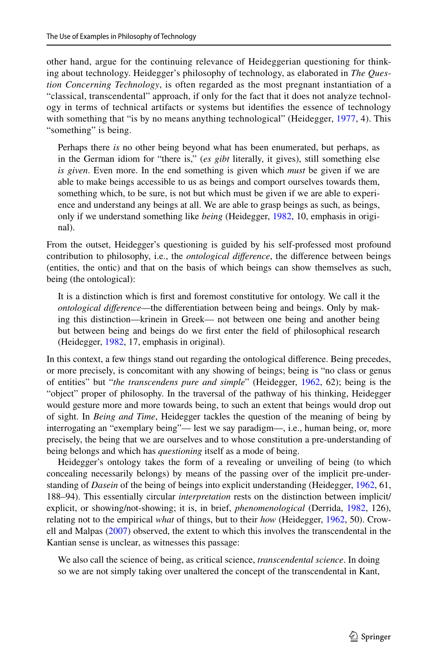other hand, argue for the continuing relevance of Heideggerian questioning for thinking about technology. Heidegger's philosophy of technology, as elaborated in *The Question Concerning Technology*, is often regarded as the most pregnant instantiation of a "classical, transcendental" approach, if only for the fact that it does not analyze technology in terms of technical artifacts or systems but identifes the essence of technology with something that "is by no means anything technological" (Heidegger, [1977](#page-20-11), 4). This "something" is being.

Perhaps there *is* no other being beyond what has been enumerated, but perhaps, as in the German idiom for "there is," (*es gibt* literally, it gives), still something else *is given*. Even more. In the end something is given which *must* be given if we are able to make beings accessible to us as beings and comport ourselves towards them, something which, to be sure, is not but which must be given if we are able to experience and understand any beings at all. We are able to grasp beings as such, as beings, only if we understand something like *being* (Heidegger, [1982,](#page-20-12) 10, emphasis in original).

From the outset, Heidegger's questioning is guided by his self-professed most profound contribution to philosophy, i.e., the *ontological diference*, the diference between beings (entities, the ontic) and that on the basis of which beings can show themselves as such, being (the ontological):

It is a distinction which is frst and foremost constitutive for ontology. We call it the *ontological diference*—the diferentiation between being and beings. Only by making this distinction—krinein in Greek— not between one being and another being but between being and beings do we frst enter the feld of philosophical research (Heidegger, [1982](#page-20-12), 17, emphasis in original).

In this context, a few things stand out regarding the ontological diference. Being precedes, or more precisely, is concomitant with any showing of beings; being is "no class or genus of entities" but "*the transcendens pure and simple*" (Heidegger, [1962](#page-20-13), 62); being is the "object" proper of philosophy. In the traversal of the pathway of his thinking, Heidegger would gesture more and more towards being, to such an extent that beings would drop out of sight. In *Being and Time*, Heidegger tackles the question of the meaning of being by interrogating an "exemplary being"— lest we say paradigm—, i.e., human being, or, more precisely, the being that we are ourselves and to whose constitution a pre-understanding of being belongs and which has *questioning* itself as a mode of being.

Heidegger's ontology takes the form of a revealing or unveiling of being (to which concealing necessarily belongs) by means of the passing over of the implicit pre-understanding of *Dasein* of the being of beings into explicit understanding (Heidegger, [1962](#page-20-13), 61, 188–94). This essentially circular *interpretation* rests on the distinction between implicit/ explicit, or showing/not-showing; it is, in brief, *phenomenological* (Derrida, [1982,](#page-20-14) 126), relating not to the empirical *what* of things, but to their *how* (Heidegger, [1962](#page-20-13), 50). Crowell and Malpas [\(2007](#page-20-15)) observed, the extent to which this involves the transcendental in the Kantian sense is unclear, as witnesses this passage:

We also call the science of being, as critical science, *transcendental science*. In doing so we are not simply taking over unaltered the concept of the transcendental in Kant,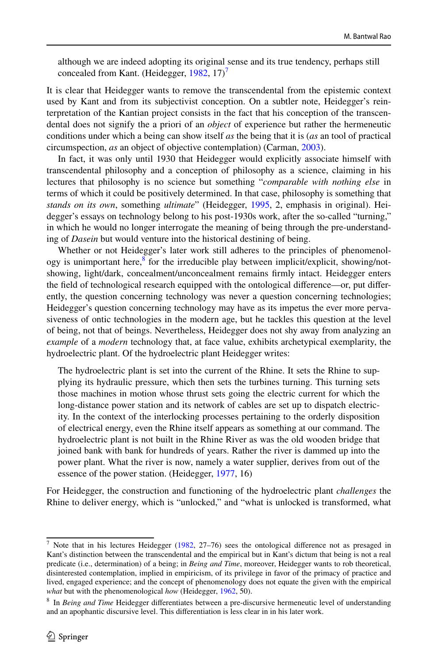although we are indeed adopting its original sense and its true tendency, perhaps still concealed from Kant. (Heidegger,  $1982$ ,  $17<sup>7</sup>$  $17<sup>7</sup>$  $17<sup>7</sup>$ 

It is clear that Heidegger wants to remove the transcendental from the epistemic context used by Kant and from its subjectivist conception. On a subtler note, Heidegger's reinterpretation of the Kantian project consists in the fact that his conception of the transcendental does not signify the a priori of an *object* of experience but rather the hermeneutic conditions under which a being can show itself *as* the being that it is (*as* an tool of practical circumspection, *as* an object of objective contemplation) (Carman, [2003\)](#page-20-16).

In fact, it was only until 1930 that Heidegger would explicitly associate himself with transcendental philosophy and a conception of philosophy as a science, claiming in his lectures that philosophy is no science but something "*comparable with nothing else* in terms of which it could be positively determined. In that case, philosophy is something that *stands on its own*, something *ultimate*" (Heidegger, [1995,](#page-20-17) 2, emphasis in original). Heidegger's essays on technology belong to his post-1930s work, after the so-called "turning," in which he would no longer interrogate the meaning of being through the pre-understanding of *Dasein* but would venture into the historical destining of being.

Whether or not Heidegger's later work still adheres to the principles of phenomenol-ogy is unimportant here,<sup>[8](#page-7-1)</sup> for the irreducible play between implicit/explicit, showing/notshowing, light/dark, concealment/unconcealment remains frmly intact. Heidegger enters the feld of technological research equipped with the ontological diference—or, put diferently, the question concerning technology was never a question concerning technologies; Heidegger's question concerning technology may have as its impetus the ever more pervasiveness of ontic technologies in the modern age, but he tackles this question at the level of being, not that of beings. Nevertheless, Heidegger does not shy away from analyzing an *example* of a *modern* technology that, at face value, exhibits archetypical exemplarity, the hydroelectric plant. Of the hydroelectric plant Heidegger writes:

The hydroelectric plant is set into the current of the Rhine. It sets the Rhine to supplying its hydraulic pressure, which then sets the turbines turning. This turning sets those machines in motion whose thrust sets going the electric current for which the long-distance power station and its network of cables are set up to dispatch electricity. In the context of the interlocking processes pertaining to the orderly disposition of electrical energy, even the Rhine itself appears as something at our command. The hydroelectric plant is not built in the Rhine River as was the old wooden bridge that joined bank with bank for hundreds of years. Rather the river is dammed up into the power plant. What the river is now, namely a water supplier, derives from out of the essence of the power station. (Heidegger, [1977,](#page-20-11) 16)

For Heidegger, the construction and functioning of the hydroelectric plant *challenges* the Rhine to deliver energy, which is "unlocked," and "what is unlocked is transformed, what

<span id="page-7-0"></span><sup>&</sup>lt;sup>7</sup> Note that in his lectures Heidegger [\(1982](#page-20-12), 27–76) sees the ontological difference not as presaged in Kant's distinction between the transcendental and the empirical but in Kant's dictum that being is not a real predicate (i.e., determination) of a being; in *Being and Time*, moreover, Heidegger wants to rob theoretical, disinterested contemplation, implied in empiricism, of its privilege in favor of the primacy of practice and lived, engaged experience; and the concept of phenomenology does not equate the given with the empirical *what* but with the phenomenological *how* (Heidegger, [1962,](#page-20-13) 50).

<span id="page-7-1"></span><sup>8</sup> In *Being and Time* Heidegger diferentiates between a pre-discursive hermeneutic level of understanding and an apophantic discursive level. This diferentiation is less clear in in his later work.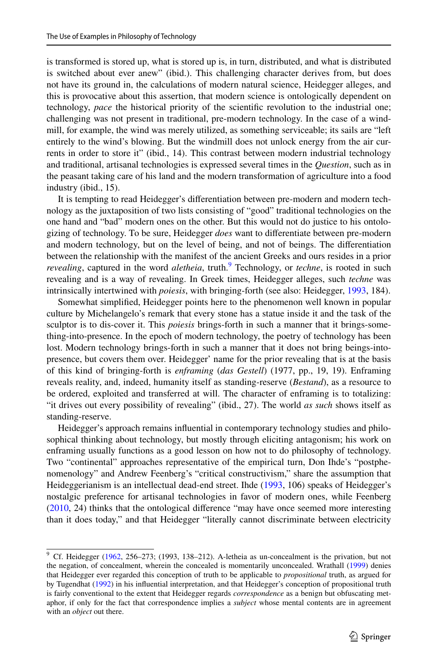is transformed is stored up, what is stored up is, in turn, distributed, and what is distributed is switched about ever anew" (ibid.). This challenging character derives from, but does not have its ground in, the calculations of modern natural science, Heidegger alleges, and this is provocative about this assertion, that modern science is ontologically dependent on technology, *pace* the historical priority of the scientifc revolution to the industrial one; challenging was not present in traditional, pre-modern technology. In the case of a windmill, for example, the wind was merely utilized, as something serviceable; its sails are "left entirely to the wind's blowing. But the windmill does not unlock energy from the air currents in order to store it" (ibid., 14). This contrast between modern industrial technology and traditional, artisanal technologies is expressed several times in the *Question*, such as in the peasant taking care of his land and the modern transformation of agriculture into a food industry (ibid., 15).

It is tempting to read Heidegger's diferentiation between pre-modern and modern technology as the juxtaposition of two lists consisting of "good" traditional technologies on the one hand and "bad" modern ones on the other. But this would not do justice to his ontologizing of technology. To be sure, Heidegger *does* want to diferentiate between pre-modern and modern technology, but on the level of being, and not of beings. The diferentiation between the relationship with the manifest of the ancient Greeks and ours resides in a prior *revealing*, captured in the word *aletheia*, truth.<sup>9</sup> Technology, or *techne*, is rooted in such revealing and is a way of revealing. In Greek times, Heidegger alleges, such *techne* was intrinsically intertwined with *poiesis*, with bringing-forth (see also: Heidegger, [1993,](#page-20-18) 184).

Somewhat simplifed, Heidegger points here to the phenomenon well known in popular culture by Michelangelo's remark that every stone has a statue inside it and the task of the sculptor is to dis-cover it. This *poiesis* brings-forth in such a manner that it brings-something-into-presence. In the epoch of modern technology, the poetry of technology has been lost. Modern technology brings-forth in such a manner that it does not bring beings-intopresence, but covers them over. Heidegger' name for the prior revealing that is at the basis of this kind of bringing-forth is *enframing* (*das Gestell*) (1977, pp., 19, 19). Enframing reveals reality, and, indeed, humanity itself as standing-reserve (*Bestand*), as a resource to be ordered, exploited and transferred at will. The character of enframing is to totalizing: "it drives out every possibility of revealing" (ibid., 27). The world *as such* shows itself as standing-reserve.

Heidegger's approach remains infuential in contemporary technology studies and philosophical thinking about technology, but mostly through eliciting antagonism; his work on enframing usually functions as a good lesson on how not to do philosophy of technology. Two "continental" approaches representative of the empirical turn, Don Ihde's "postphenomenology" and Andrew Feenberg's "critical constructivism," share the assumption that Heideggerianism is an intellectual dead-end street. Ihde ([1993,](#page-20-2) 106) speaks of Heidegger's nostalgic preference for artisanal technologies in favor of modern ones, while Feenberg ([2010,](#page-20-9) 24) thinks that the ontological diference "may have once seemed more interesting than it does today," and that Heidegger "literally cannot discriminate between electricity

<span id="page-8-0"></span><sup>&</sup>lt;sup>9</sup> Cf. Heidegger [\(1962](#page-20-13), 256–273; (1993, 138–212). A-letheia as un-concealment is the privation, but not the negation, of concealment, wherein the concealed is momentarily unconcealed. Wrathall ([1999\)](#page-22-2) denies that Heidegger ever regarded this conception of truth to be applicable to *propositional* truth, as argued for by Tugendhat [\(1992](#page-21-16)) in his infuential interpretation, and that Heidegger's conception of propositional truth is fairly conventional to the extent that Heidegger regards *correspondence* as a benign but obfuscating metaphor, if only for the fact that correspondence implies a *subject* whose mental contents are in agreement with an *object* out there.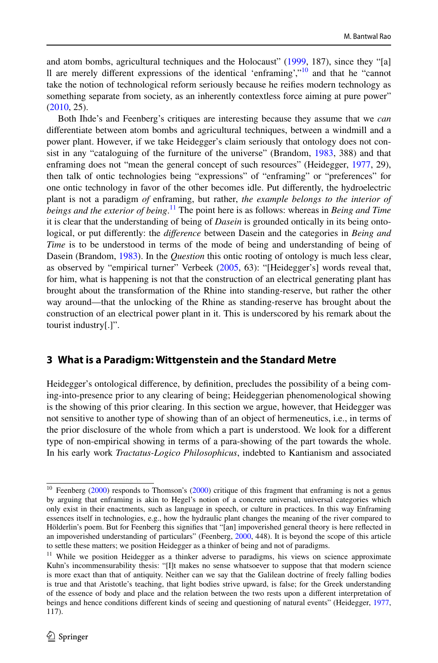and atom bombs, agricultural techniques and the Holocaust" [\(1999](#page-20-5), 187), since they "[a] ll are merely diferent expressions of the identical 'enframing',"[10](#page-9-1) and that he "cannot take the notion of technological reform seriously because he reifes modern technology as something separate from society, as an inherently contextless force aiming at pure power" ([2010,](#page-20-9) 25).

Both Ihde's and Feenberg's critiques are interesting because they assume that we *can* diferentiate between atom bombs and agricultural techniques, between a windmill and a power plant. However, if we take Heidegger's claim seriously that ontology does not consist in any "cataloguing of the furniture of the universe" (Brandom, [1983,](#page-20-19) 388) and that enframing does not "mean the general concept of such resources" (Heidegger, [1977](#page-20-11), 29), then talk of ontic technologies being "expressions" of "enframing" or "preferences" for one ontic technology in favor of the other becomes idle. Put diferently, the hydroelectric plant is not a paradigm *of* enframing, but rather, *the example belongs to the interior of beings and the exterior of being*. [11](#page-9-2) The point here is as follows: whereas in *Being and Time* it is clear that the understanding of being of *Dasein* is grounded ontically in its being ontological, or put diferently: the *diference* between Dasein and the categories in *Being and Time* is to be understood in terms of the mode of being and understanding of being of Dasein (Brandom, [1983](#page-20-19)). In the *Question* this ontic rooting of ontology is much less clear, as observed by "empirical turner" Verbeek [\(2005](#page-21-17), 63): "[Heidegger's] words reveal that, for him, what is happening is not that the construction of an electrical generating plant has brought about the transformation of the Rhine into standing-reserve, but rather the other way around—that the unlocking of the Rhine as standing-reserve has brought about the construction of an electrical power plant in it. This is underscored by his remark about the tourist industry[.]".

## <span id="page-9-0"></span>**3 What is a Paradigm: Wittgenstein and the Standard Metre**

Heidegger's ontological diference, by defnition, precludes the possibility of a being coming-into-presence prior to any clearing of being; Heideggerian phenomenological showing is the showing of this prior clearing. In this section we argue, however, that Heidegger was not sensitive to another type of showing than of an object of hermeneutics, i.e., in terms of the prior disclosure of the whole from which a part is understood. We look for a diferent type of non-empirical showing in terms of a para-showing of the part towards the whole. In his early work *Tractatus-Logico Philosophicus*, indebted to Kantianism and associated

<span id="page-9-1"></span> $10$  Feenberg [\(2000](#page-21-18)) responds to Thomson's (2000) critique of this fragment that enframing is not a genus by arguing that enframing is akin to Hegel's notion of a concrete universal, universal categories which only exist in their enactments, such as language in speech, or culture in practices. In this way Enframing essences itself in technologies, e.g., how the hydraulic plant changes the meaning of the river compared to Hölderlin's poem. But for Feenberg this signifes that "[an] impoverished general theory is here refected in an impoverished understanding of particulars" (Feenberg, [2000](#page-20-20), 448). It is beyond the scope of this article to settle these matters; we position Heidegger as a thinker of being and not of paradigms.

<span id="page-9-2"></span><sup>&</sup>lt;sup>11</sup> While we position Heidegger as a thinker adverse to paradigms, his views on science approximate Kuhn's incommensurability thesis: "[I]t makes no sense whatsoever to suppose that that modern science is more exact than that of antiquity. Neither can we say that the Galilean doctrine of freely falling bodies is true and that Aristotle's teaching, that light bodies strive upward, is false; for the Greek understanding of the essence of body and place and the relation between the two rests upon a diferent interpretation of beings and hence conditions diferent kinds of seeing and questioning of natural events" (Heidegger, [1977,](#page-20-11) 117).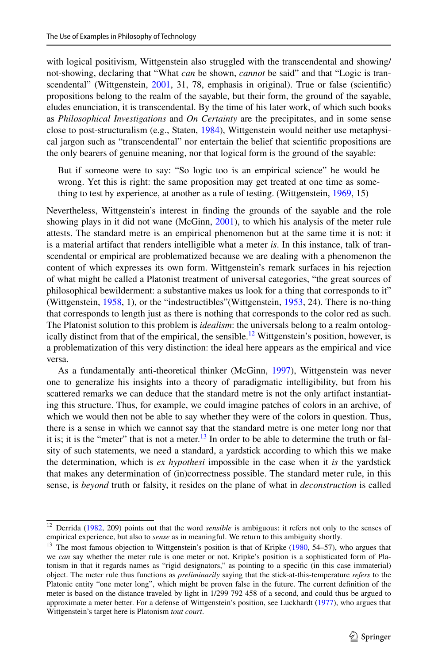with logical positivism, Wittgenstein also struggled with the transcendental and showing/ not-showing, declaring that "What *can* be shown, *cannot* be said" and that "Logic is tran-scendental" (Wittgenstein, [2001](#page-22-3), 31, 78, emphasis in original). True or false (scientific) propositions belong to the realm of the sayable, but their form, the ground of the sayable, eludes enunciation, it is transcendental. By the time of his later work, of which such books as *Philosophical Investigations* and *On Certainty* are the precipitates, and in some sense close to post-structuralism (e.g., Staten, [1984\)](#page-21-19), Wittgenstein would neither use metaphysical jargon such as "transcendental" nor entertain the belief that scientifc propositions are the only bearers of genuine meaning, nor that logical form is the ground of the sayable:

But if someone were to say: "So logic too is an empirical science" he would be wrong. Yet this is right: the same proposition may get treated at one time as something to test by experience, at another as a rule of testing. (Wittgenstein, [1969,](#page-21-20) 15)

Nevertheless, Wittgenstein's interest in fnding the grounds of the sayable and the role showing plays in it did not wane (McGinn, [2001](#page-21-21)), to which his analysis of the meter rule attests. The standard metre is an empirical phenomenon but at the same time it is not: it is a material artifact that renders intelligible what a meter *is*. In this instance, talk of transcendental or empirical are problematized because we are dealing with a phenomenon the content of which expresses its own form. Wittgenstein's remark surfaces in his rejection of what might be called a Platonist treatment of universal categories, "the great sources of philosophical bewilderment: a substantive makes us look for a thing that corresponds to it" (Wittgenstein, [1958](#page-21-22), 1), or the "indestructibles"(Wittgenstein, [1953](#page-21-0), 24). There is no-thing that corresponds to length just as there is nothing that corresponds to the color red as such. The Platonist solution to this problem is *idealism*: the universals belong to a realm ontologically distinct from that of the empirical, the sensible.<sup>12</sup> Wittgenstein's position, however, is a problematization of this very distinction: the ideal here appears as the empirical and vice versa.

As a fundamentally anti-theoretical thinker (McGinn, [1997\)](#page-21-23), Wittgenstein was never one to generalize his insights into a theory of paradigmatic intelligibility, but from his scattered remarks we can deduce that the standard metre is not the only artifact instantiating this structure. Thus, for example, we could imagine patches of colors in an archive, of which we would then not be able to say whether they were of the colors in question. Thus, there is a sense in which we cannot say that the standard metre is one meter long nor that it is; it is the "meter" that is not a meter.<sup>13</sup> In order to be able to determine the truth or falsity of such statements, we need a standard, a yardstick according to which this we make the determination, which is *ex hypothesi* impossible in the case when it *is* the yardstick that makes any determination of (in)correctness possible. The standard meter rule, in this sense, is *beyond* truth or falsity, it resides on the plane of what in *deconstruction* is called

<span id="page-10-0"></span><sup>&</sup>lt;sup>12</sup> Derrida ([1982,](#page-20-14) 209) points out that the word *sensible* is ambiguous: it refers not only to the senses of empirical experience, but also to *sense* as in meaningful. We return to this ambiguity shortly.

<span id="page-10-1"></span><sup>&</sup>lt;sup>13</sup> The most famous objection to Wittgenstein's position is that of Kripke  $(1980, 54–57)$  $(1980, 54–57)$  $(1980, 54–57)$ , who argues that we *can* say whether the meter rule is one meter or not. Kripke's position is a sophisticated form of Platonism in that it regards names as "rigid designators," as pointing to a specifc (in this case immaterial) object. The meter rule thus functions as *preliminarily* saying that the stick-at-this-temperature *refers* to the Platonic entity "one meter long", which might be proven false in the future. The current defnition of the meter is based on the distance traveled by light in 1/299 792 458 of a second, and could thus be argued to approximate a meter better. For a defense of Wittgenstein's position, see Luckhardt ([1977\)](#page-21-25), who argues that Wittgenstein's target here is Platonism *tout court*.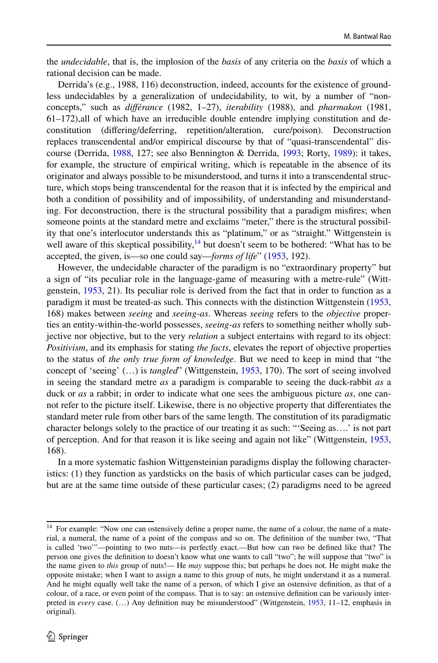the *undecidable*, that is, the implosion of the *basis* of any criteria on the *basis* of which a rational decision can be made.

Derrida's (e.g., 1988, 116) deconstruction, indeed, accounts for the existence of groundless undecidables by a generalization of undecidability, to wit, by a number of "nonconcepts," such as *diférance* (1982, 1–27), *iterability* (1988), and *pharmakon* (1981, 61–172),all of which have an irreducible double entendre implying constitution and deconstitution (difering/deferring, repetition/alteration, cure/poison). Deconstruction replaces transcendental and/or empirical discourse by that of "quasi-transcendental" discourse (Derrida, [1988,](#page-20-21) 127; see also Bennington & Derrida, [1993](#page-19-2); Rorty, [1989\)](#page-21-26): it takes, for example, the structure of empirical writing, which is repeatable in the absence of its originator and always possible to be misunderstood, and turns it into a transcendental structure, which stops being transcendental for the reason that it is infected by the empirical and both a condition of possibility and of impossibility, of understanding and misunderstanding. For deconstruction, there is the structural possibility that a paradigm misfres; when someone points at the standard metre and exclaims "meter," there is the structural possibility that one's interlocutor understands this as "platinum," or as "straight." Wittgenstein is well aware of this skeptical possibility, $14$  but doesn't seem to be bothered: "What has to be accepted, the given, is—so one could say—*forms of life*" [\(1953](#page-21-0), 192).

However, the undecidable character of the paradigm is no "extraordinary property" but a sign of "its peculiar role in the language-game of measuring with a metre-rule" (Wittgenstein, [1953](#page-21-0), 21). Its peculiar role is derived from the fact that in order to function as a paradigm it must be treated-as such. This connects with the distinction Wittgenstein [\(1953](#page-21-0), 168) makes between *seeing* and *seeing-as*. Whereas *seeing* refers to the *objective* properties an entity-within-the-world possesses, *seeing-as* refers to something neither wholly subjective nor objective, but to the very *relation* a subject entertains with regard to its object: *Positivism*, and its emphasis for stating *the facts*, elevates the report of objective properties to the status of *the only true form of knowledge*. But we need to keep in mind that "the concept of 'seeing' (…) is *tangled*" (Wittgenstein, [1953,](#page-21-0) 170). The sort of seeing involved in seeing the standard metre *as* a paradigm is comparable to seeing the duck-rabbit *as* a duck or *as* a rabbit; in order to indicate what one sees the ambiguous picture *as*, one cannot refer to the picture itself. Likewise, there is no objective property that diferentiates the standard meter rule from other bars of the same length. The constitution of its paradigmatic character belongs solely to the practice of our treating it as such: "'Seeing as….' is not part of perception. And for that reason it is like seeing and again not like" (Wittgenstein, [1953](#page-21-0), 168).

In a more systematic fashion Wittgensteinian paradigms display the following characteristics: (1) they function as yardsticks on the basis of which particular cases can be judged, but are at the same time outside of these particular cases; (2) paradigms need to be agreed

<span id="page-11-0"></span><sup>&</sup>lt;sup>14</sup> For example: "Now one can ostensively define a proper name, the name of a colour, the name of a material, a numeral, the name of a point of the compass and so on. The defnition of the number two, "That is called 'two'"—pointing to two nuts—is perfectly exact.—But how can two be defned like that? The person one gives the defnition to doesn't know what one wants to call "two"; he will suppose that "two" is the name given to *this* group of nuts!— He *may* suppose this; but perhaps he does not. He might make the opposite mistake; when I want to assign a name to this group of nuts, he might understand it as a numeral. And he might equally well take the name of a person, of which I give an ostensive defnition, as that of a colour, of a race, or even point of the compass. That is to say: an ostensive defnition can be variously interpreted in *every* case. (…) Any defnition may be misunderstood" (Wittgenstein, [1953,](#page-21-0) 11–12, emphasis in original).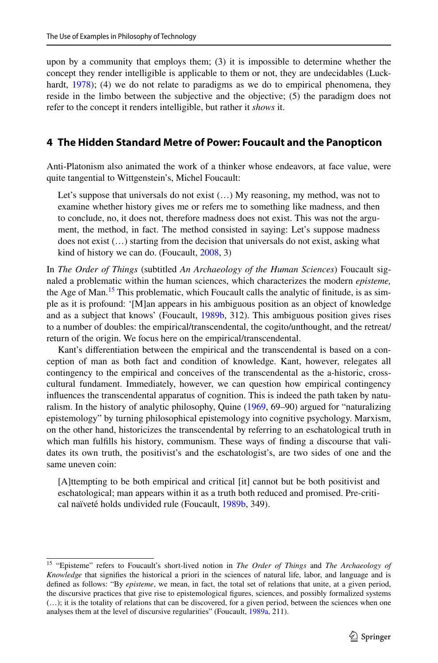upon by a community that employs them; (3) it is impossible to determine whether the concept they render intelligible is applicable to them or not, they are undecidables (Luck-hardt, [1978](#page-21-27)); (4) we do not relate to paradigms as we do to empirical phenomena, they reside in the limbo between the subjective and the objective; (5) the paradigm does not refer to the concept it renders intelligible, but rather it *shows* it.

#### <span id="page-12-0"></span>**4 The Hidden Standard Metre of Power: Foucault and the Panopticon**

Anti-Platonism also animated the work of a thinker whose endeavors, at face value, were quite tangential to Wittgenstein's, Michel Foucault:

Let's suppose that universals do not exist (…) My reasoning, my method, was not to examine whether history gives me or refers me to something like madness, and then to conclude, no, it does not, therefore madness does not exist. This was not the argument, the method, in fact. The method consisted in saying: Let's suppose madness does not exist (…) starting from the decision that universals do not exist, asking what kind of history we can do. (Foucault, [2008,](#page-20-22) 3)

In *The Order of Things* (subtitled *An Archaeology of the Human Sciences*) Foucault signaled a problematic within the human sciences, which characterizes the modern *episteme,* the Age of Man.<sup>[15](#page-12-1)</sup> This problematic, which Foucault calls the analytic of finitude, is as simple as it is profound: '[M]an appears in his ambiguous position as an object of knowledge and as a subject that knows' (Foucault, [1989b](#page-20-23), 312). This ambiguous position gives rises to a number of doubles: the empirical/transcendental, the cogito/unthought, and the retreat/ return of the origin. We focus here on the empirical/transcendental.

Kant's diferentiation between the empirical and the transcendental is based on a conception of man as both fact and condition of knowledge. Kant, however, relegates all contingency to the empirical and conceives of the transcendental as the a-historic, crosscultural fundament. Immediately, however, we can question how empirical contingency infuences the transcendental apparatus of cognition. This is indeed the path taken by naturalism. In the history of analytic philosophy, Quine ([1969,](#page-21-28) 69–90) argued for "naturalizing epistemology" by turning philosophical epistemology into cognitive psychology. Marxism, on the other hand, historicizes the transcendental by referring to an eschatological truth in which man fulflls his history, communism. These ways of fnding a discourse that validates its own truth, the positivist's and the eschatologist's, are two sides of one and the same uneven coin:

[A]ttempting to be both empirical and critical [it] cannot but be both positivist and eschatological; man appears within it as a truth both reduced and promised. Pre-critical naïveté holds undivided rule (Foucault, [1989b,](#page-20-23) 349).

<span id="page-12-1"></span><sup>15</sup> "Episteme" refers to Foucault's short-lived notion in *The Order of Things* and *The Archaeology of Knowledge* that signifes the historical a priori in the sciences of natural life, labor, and language and is defned as follows: "By *episteme*, we mean, in fact, the total set of relations that unite, at a given period, the discursive practices that give rise to epistemological fgures, sciences, and possibly formalized systems (…); it is the totality of relations that can be discovered, for a given period, between the sciences when one analyses them at the level of discursive regularities" (Foucault, [1989a](#page-20-24), 211).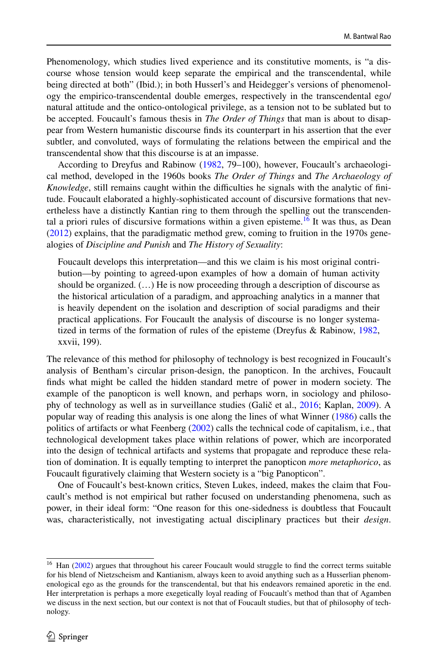Phenomenology, which studies lived experience and its constitutive moments, is "a discourse whose tension would keep separate the empirical and the transcendental, while being directed at both" (Ibid.); in both Husserl's and Heidegger's versions of phenomenology the empirico-transcendental double emerges, respectively in the transcendental ego/ natural attitude and the ontico-ontological privilege, as a tension not to be sublated but to be accepted. Foucault's famous thesis in *The Order of Things* that man is about to disappear from Western humanistic discourse fnds its counterpart in his assertion that the ever subtler, and convoluted, ways of formulating the relations between the empirical and the transcendental show that this discourse is at an impasse.

According to Dreyfus and Rabinow [\(1982](#page-20-25), 79–100), however, Foucault's archaeological method, developed in the 1960s books *The Order of Things* and *The Archaeology of Knowledge*, still remains caught within the difficulties he signals with the analytic of finitude. Foucault elaborated a highly-sophisticated account of discursive formations that nevertheless have a distinctly Kantian ring to them through the spelling out the transcendental a priori rules of discursive formations within a given episteme.<sup>16</sup> It was thus, as Dean ([2012\)](#page-20-26) explains, that the paradigmatic method grew, coming to fruition in the 1970s genealogies of *Discipline and Punish* and *The History of Sexuality*:

Foucault develops this interpretation—and this we claim is his most original contribution—by pointing to agreed-upon examples of how a domain of human activity should be organized. (…) He is now proceeding through a description of discourse as the historical articulation of a paradigm, and approaching analytics in a manner that is heavily dependent on the isolation and description of social paradigms and their practical applications. For Foucault the analysis of discourse is no longer systematized in terms of the formation of rules of the episteme (Dreyfus & Rabinow, [1982,](#page-20-25) xxvii, 199).

The relevance of this method for philosophy of technology is best recognized in Foucault's analysis of Bentham's circular prison-design, the panopticon. In the archives, Foucault fnds what might be called the hidden standard metre of power in modern society. The example of the panopticon is well known, and perhaps worn, in sociology and philosophy of technology as well as in surveillance studies (Galič et al., [2016;](#page-20-27) Kaplan, [2009](#page-21-29)). A popular way of reading this analysis is one along the lines of what Winner [\(1986](#page-21-1)) calls the politics of artifacts or what Feenberg [\(2002](#page-20-3)) calls the technical code of capitalism, i.e., that technological development takes place within relations of power, which are incorporated into the design of technical artifacts and systems that propagate and reproduce these relation of domination. It is equally tempting to interpret the panopticon *more metaphorico*, as Foucault fguratively claiming that Western society is a "big Panopticon".

One of Foucault's best-known critics, Steven Lukes, indeed, makes the claim that Foucault's method is not empirical but rather focused on understanding phenomena, such as power, in their ideal form: "One reason for this one-sidedness is doubtless that Foucault was, characteristically, not investigating actual disciplinary practices but their *design*.

<span id="page-13-0"></span><sup>&</sup>lt;sup>16</sup> Han ([2002\)](#page-20-28) argues that throughout his career Foucault would struggle to find the correct terms suitable for his blend of Nietzscheism and Kantianism, always keen to avoid anything such as a Husserlian phenomenological ego as the grounds for the transcendental, but that his endeavors remained aporetic in the end. Her interpretation is perhaps a more exegetically loyal reading of Foucault's method than that of Agamben we discuss in the next section, but our context is not that of Foucault studies, but that of philosophy of technology.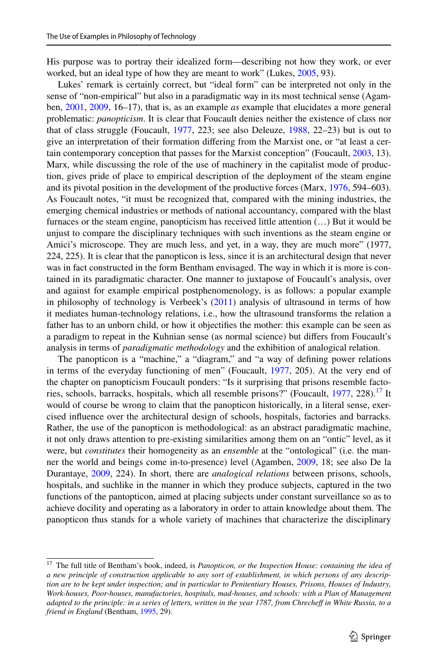His purpose was to portray their idealized form—describing not how they work, or ever worked, but an ideal type of how they are meant to work" (Lukes, [2005](#page-21-30), 93).

Lukes' remark is certainly correct, but "ideal form" can be interpreted not only in the sense of "non-empirical" but also in a paradigmatic way in its most technical sense (Agamben, [2001,](#page-19-3) [2009,](#page-19-4) 16–17), that is, as an example *as* example that elucidates a more general problematic: *panopticism*. It is clear that Foucault denies neither the existence of class nor that of class struggle (Foucault, [1977,](#page-20-29) 223; see also Deleuze, [1988,](#page-20-30) 22–23) but is out to give an interpretation of their formation difering from the Marxist one, or "at least a certain contemporary conception that passes for the Marxist conception" (Foucault, [2003,](#page-20-31) 13). Marx, while discussing the role of the use of machinery in the capitalist mode of production, gives pride of place to empirical description of the deployment of the steam engine and its pivotal position in the development of the productive forces (Marx, [1976](#page-21-31), 594–603). As Foucault notes, "it must be recognized that, compared with the mining industries, the emerging chemical industries or methods of national accountancy, compared with the blast furnaces or the steam engine, panopticism has received little attention (…) But it would be unjust to compare the disciplinary techniques with such inventions as the steam engine or Amici's microscope. They are much less, and yet, in a way, they are much more" (1977, 224, 225). It is clear that the panopticon is less, since it is an architectural design that never was in fact constructed in the form Bentham envisaged. The way in which it is more is contained in its paradigmatic character. One manner to juxtapose of Foucault's analysis, over and against for example empirical postphenomenology, is as follows: a popular example in philosophy of technology is Verbeek's  $(2011)$  $(2011)$  analysis of ultrasound in terms of how it mediates human-technology relations, i.e., how the ultrasound transforms the relation a father has to an unborn child, or how it objectifes the mother: this example can be seen as a paradigm to repeat in the Kuhnian sense (as normal science) but difers from Foucault's analysis in terms of *paradigmatic methodology* and the exhibition of analogical relation.

The panopticon is a "machine," a "diagram," and "a way of defning power relations in terms of the everyday functioning of men" (Foucault, [1977](#page-20-29), 205). At the very end of the chapter on panopticism Foucault ponders: "Is it surprising that prisons resemble facto-ries, schools, barracks, hospitals, which all resemble prisons?" (Foucault, [1977](#page-20-29), 228).<sup>17</sup> It would of course be wrong to claim that the panopticon historically, in a literal sense, exercised infuence over the architectural design of schools, hospitals, factories and barracks. Rather, the use of the panopticon is methodological: as an abstract paradigmatic machine, it not only draws attention to pre-existing similarities among them on an "ontic" level, as it were, but *constitutes* their homogeneity as an *ensemble* at the "ontological" (i.e. the manner the world and beings come in-to-presence) level (Agamben, [2009,](#page-19-4) 18; see also De la Durantaye, [2009,](#page-20-32) 224). In short, there are *analogical relations* between prisons, schools, hospitals, and suchlike in the manner in which they produce subjects, captured in the two functions of the pantopticon, aimed at placing subjects under constant surveillance so as to achieve docility and operating as a laboratory in order to attain knowledge about them. The panopticon thus stands for a whole variety of machines that characterize the disciplinary

<span id="page-14-0"></span><sup>&</sup>lt;sup>17</sup> The full title of Bentham's book, indeed, is *Panopticon, or the Inspection House: containing the idea of a new principle of construction applicable to any sort of establishment, in which persons of any description are to be kept under inspection; and in particular to Penitentiary Houses, Prisons, Houses of Industry, Work-houses, Poor-houses, manufactories, hospitals, mad-houses, and schools: with a Plan of Management adapted to the principle: in a series of letters, written in the year 1787, from Chrechef in White Russia, to a friend in England* (Bentham, [1995,](#page-19-5) 29).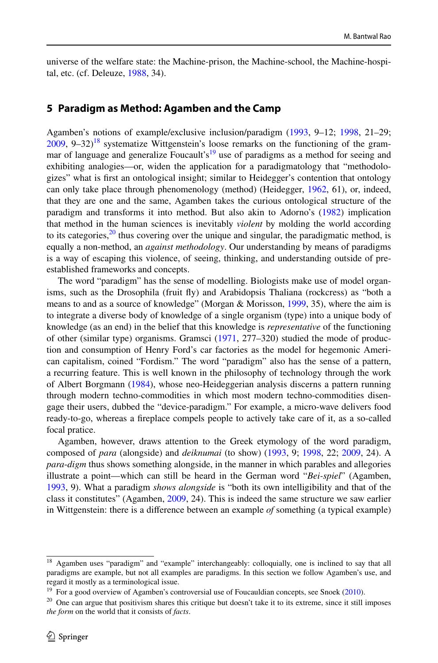universe of the welfare state: the Machine-prison, the Machine-school, the Machine-hospital, etc. (cf. Deleuze, [1988](#page-20-30), 34).

#### **5 Paradigm as Method: Agamben and the Camp**

Agamben's notions of example/exclusive inclusion/paradigm [\(1993](#page-19-6), 9–12; [1998](#page-19-7), 21–29;  $2009$ ,  $9-32$ )<sup>18</sup> systematize Wittgenstein's loose remarks on the functioning of the grammar of language and generalize Foucault's<sup>19</sup> use of paradigms as a method for seeing and exhibiting analogies—or, widen the application for a paradigmatology that "methodologizes" what is frst an ontological insight; similar to Heidegger's contention that ontology can only take place through phenomenology (method) (Heidegger, [1962,](#page-20-13) 61), or, indeed, that they are one and the same, Agamben takes the curious ontological structure of the paradigm and transforms it into method. But also akin to Adorno's [\(1982](#page-19-8)) implication that method in the human sciences is inevitably *violent* by molding the world according to its categories, $^{20}$  thus covering over the unique and singular, the paradigmatic method, is equally a non-method, an *against methodology*. Our understanding by means of paradigms is a way of escaping this violence, of seeing, thinking, and understanding outside of preestablished frameworks and concepts.

The word "paradigm" has the sense of modelling. Biologists make use of model organisms, such as the Drosophila (fruit fy) and Arabidopsis Thaliana (rockcress) as "both a means to and as a source of knowledge" (Morgan & Morisson, [1999](#page-21-33), 35), where the aim is to integrate a diverse body of knowledge of a single organism (type) into a unique body of knowledge (as an end) in the belief that this knowledge is *representative* of the functioning of other (similar type) organisms. Gramsci ([1971,](#page-20-33) 277–320) studied the mode of production and consumption of Henry Ford's car factories as the model for hegemonic American capitalism, coined "Fordism." The word "paradigm" also has the sense of a pattern, a recurring feature. This is well known in the philosophy of technology through the work of Albert Borgmann ([1984\)](#page-20-10), whose neo-Heideggerian analysis discerns a pattern running through modern techno-commodities in which most modern techno-commodities disengage their users, dubbed the "device-paradigm." For example, a micro-wave delivers food ready-to-go, whereas a freplace compels people to actively take care of it, as a so-called focal pratice.

Agamben, however, draws attention to the Greek etymology of the word paradigm, composed of *para* (alongside) and *deiknumai* (to show) [\(1993](#page-19-6), 9; [1998](#page-19-7), 22; [2009](#page-19-4), 24). A *para*-*digm* thus shows something alongside, in the manner in which parables and allegories illustrate a point—which can still be heard in the German word "*Bei-spiel*" (Agamben, [1993,](#page-19-6) 9). What a paradigm *shows alongside* is "both its own intelligibility and that of the class it constitutes" (Agamben, [2009,](#page-19-4) 24). This is indeed the same structure we saw earlier in Wittgenstein: there is a diference between an example *of* something (a typical example)

<span id="page-15-0"></span><sup>&</sup>lt;sup>18</sup> Agamben uses "paradigm" and "example" interchangeably: colloquially, one is inclined to say that all paradigms are example, but not all examples are paradigms. In this section we follow Agamben's use, and regard it mostly as a terminological issue.

<span id="page-15-1"></span><sup>&</sup>lt;sup>19</sup> For a good overview of Agamben's controversial use of Foucauldian concepts, see Snoek [\(2010](#page-21-34)).

<span id="page-15-2"></span><sup>&</sup>lt;sup>20</sup> One can argue that positivism shares this critique but doesn't take it to its extreme, since it still imposes *the form* on the world that it consists of *facts*.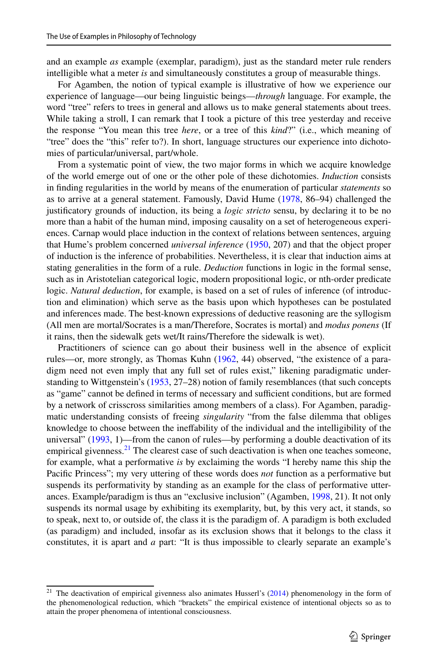and an example *as* example (exemplar, paradigm), just as the standard meter rule renders intelligible what a meter *is* and simultaneously constitutes a group of measurable things.

For Agamben, the notion of typical example is illustrative of how we experience our experience of language—our being linguistic beings—*through* language. For example, the word "tree" refers to trees in general and allows us to make general statements about trees. While taking a stroll, I can remark that I took a picture of this tree yesterday and receive the response "You mean this tree *here*, or a tree of this *kind*?" (i.e., which meaning of "tree" does the "this" refer to?). In short, language structures our experience into dichotomies of particular/universal, part/whole.

From a systematic point of view, the two major forms in which we acquire knowledge of the world emerge out of one or the other pole of these dichotomies. *Induction* consists in fnding regularities in the world by means of the enumeration of particular *statements* so as to arrive at a general statement. Famously, David Hume [\(1978](#page-20-34), 86–94) challenged the justifcatory grounds of induction, its being a *logic stricto* sensu, by declaring it to be no more than a habit of the human mind, imposing causality on a set of heterogeneous experiences. Carnap would place induction in the context of relations between sentences, arguing that Hume's problem concerned *universal inference* [\(1950](#page-20-35), 207) and that the object proper of induction is the inference of probabilities. Nevertheless, it is clear that induction aims at stating generalities in the form of a rule. *Deduction* functions in logic in the formal sense, such as in Aristotelian categorical logic, modern propositional logic, or nth-order predicate logic. *Natural deduction*, for example, is based on a set of rules of inference (of introduction and elimination) which serve as the basis upon which hypotheses can be postulated and inferences made. The best-known expressions of deductive reasoning are the syllogism (All men are mortal/Socrates is a man/Therefore, Socrates is mortal) and *modus ponens* (If it rains, then the sidewalk gets wet/It rains/Therefore the sidewalk is wet).

Practitioners of science can go about their business well in the absence of explicit rules—or, more strongly, as Thomas Kuhn [\(1962](#page-21-10), 44) observed, "the existence of a paradigm need not even imply that any full set of rules exist," likening paradigmatic understanding to Wittgenstein's ([1953,](#page-21-0) 27–28) notion of family resemblances (that such concepts as "game" cannot be defined in terms of necessary and sufficient conditions, but are formed by a network of crisscross similarities among members of a class). For Agamben, paradigmatic understanding consists of freeing *singularity* "from the false dilemma that obliges knowledge to choose between the inefability of the individual and the intelligibility of the universal" [\(1993](#page-19-6), 1)—from the canon of rules—by performing a double deactivation of its empirical givenness. $^{21}$  $^{21}$  $^{21}$  The clearest case of such deactivation is when one teaches someone, for example, what a performative *is* by exclaiming the words "I hereby name this ship the Pacifc Princess"; my very uttering of these words does *not* function as a performative but suspends its performativity by standing as an example for the class of performative utterances. Example/paradigm is thus an "exclusive inclusion" (Agamben, [1998,](#page-19-7) 21). It not only suspends its normal usage by exhibiting its exemplarity, but, by this very act, it stands, so to speak, next to, or outside of, the class it is the paradigm of. A paradigm is both excluded (as paradigm) and included, insofar as its exclusion shows that it belongs to the class it constitutes, it is apart and *a* part: "It is thus impossible to clearly separate an example's

<span id="page-16-0"></span><sup>&</sup>lt;sup>21</sup> The deactivation of empirical givenness also animates Husserl's  $(2014)$  $(2014)$  phenomenology in the form of the phenomenological reduction, which "brackets" the empirical existence of intentional objects so as to attain the proper phenomena of intentional consciousness.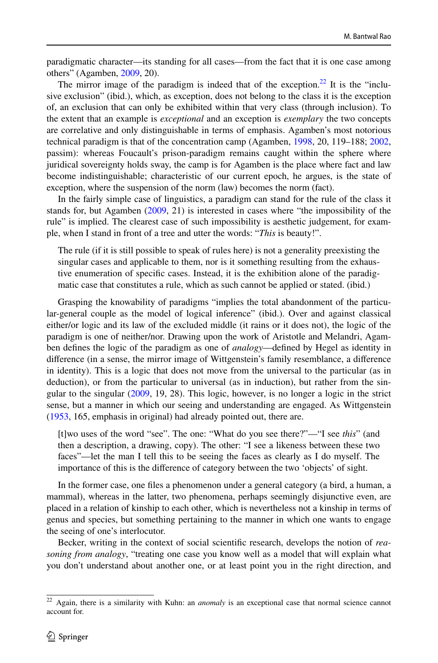paradigmatic character—its standing for all cases—from the fact that it is one case among others" (Agamben, [2009](#page-19-4), 20).

The mirror image of the paradigm is indeed that of the exception.<sup>22</sup> It is the "inclusive exclusion" (ibid.), which, as exception, does not belong to the class it is the exception of, an exclusion that can only be exhibited within that very class (through inclusion). To the extent that an example is *exceptional* and an exception is *exemplary* the two concepts are correlative and only distinguishable in terms of emphasis. Agamben's most notorious technical paradigm is that of the concentration camp (Agamben, [1998](#page-19-7), 20, 119–188; [2002](#page-19-9), passim): whereas Foucault's prison-paradigm remains caught within the sphere where juridical sovereignty holds sway, the camp is for Agamben is the place where fact and law become indistinguishable; characteristic of our current epoch, he argues, is the state of exception, where the suspension of the norm (law) becomes the norm (fact).

In the fairly simple case of linguistics, a paradigm can stand for the rule of the class it stands for, but Agamben [\(2009](#page-19-4), 21) is interested in cases where "the impossibility of the rule" is implied. The clearest case of such impossibility is aesthetic judgement, for example, when I stand in front of a tree and utter the words: "*This* is beauty!".

The rule (if it is still possible to speak of rules here) is not a generality preexisting the singular cases and applicable to them, nor is it something resulting from the exhaustive enumeration of specifc cases. Instead, it is the exhibition alone of the paradigmatic case that constitutes a rule, which as such cannot be applied or stated. (ibid.)

Grasping the knowability of paradigms "implies the total abandonment of the particular-general couple as the model of logical inference" (ibid.). Over and against classical either/or logic and its law of the excluded middle (it rains or it does not), the logic of the paradigm is one of neither/nor. Drawing upon the work of Aristotle and Melandri, Agamben defnes the logic of the paradigm as one of *analogy*—defned by Hegel as identity in diference (in a sense, the mirror image of Wittgenstein's family resemblance, a diference in identity). This is a logic that does not move from the universal to the particular (as in deduction), or from the particular to universal (as in induction), but rather from the singular to the singular [\(2009](#page-19-4), 19, 28). This logic, however, is no longer a logic in the strict sense, but a manner in which our seeing and understanding are engaged. As Wittgenstein ([1953,](#page-21-0) 165, emphasis in original) had already pointed out, there are.

[t]wo uses of the word "see". The one: "What do you see there?"—"I see *this*" (and then a description, a drawing, copy). The other: "I see a likeness between these two faces"—let the man I tell this to be seeing the faces as clearly as I do myself. The importance of this is the diference of category between the two 'objects' of sight.

In the former case, one fles a phenomenon under a general category (a bird, a human, a mammal), whereas in the latter, two phenomena, perhaps seemingly disjunctive even, are placed in a relation of kinship to each other, which is nevertheless not a kinship in terms of genus and species, but something pertaining to the manner in which one wants to engage the seeing of one's interlocutor.

Becker, writing in the context of social scientifc research, develops the notion of *reasoning from analogy*, "treating one case you know well as a model that will explain what you don't understand about another one, or at least point you in the right direction, and

<span id="page-17-0"></span><sup>22</sup> Again, there is a similarity with Kuhn: an *anomaly* is an exceptional case that normal science cannot account for.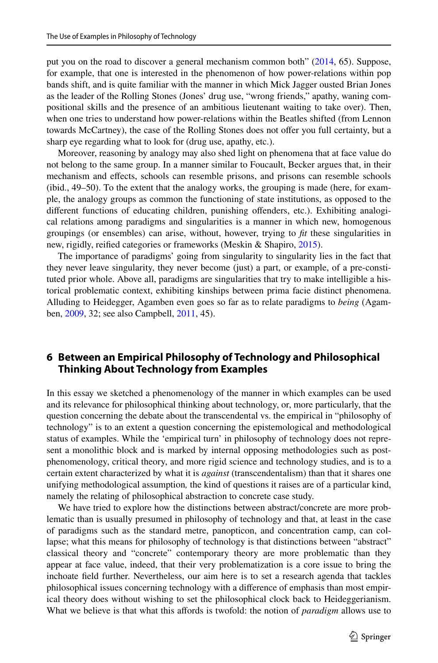put you on the road to discover a general mechanism common both" [\(2014](#page-19-10), 65). Suppose, for example, that one is interested in the phenomenon of how power-relations within pop bands shift, and is quite familiar with the manner in which Mick Jagger ousted Brian Jones as the leader of the Rolling Stones (Jones' drug use, "wrong friends," apathy, waning compositional skills and the presence of an ambitious lieutenant waiting to take over). Then, when one tries to understand how power-relations within the Beatles shifted (from Lennon towards McCartney), the case of the Rolling Stones does not ofer you full certainty, but a sharp eye regarding what to look for (drug use, apathy, etc.).

Moreover, reasoning by analogy may also shed light on phenomena that at face value do not belong to the same group. In a manner similar to Foucault, Becker argues that, in their mechanism and efects, schools can resemble prisons, and prisons can resemble schools (ibid., 49–50). To the extent that the analogy works, the grouping is made (here, for example, the analogy groups as common the functioning of state institutions, as opposed to the diferent functions of educating children, punishing ofenders, etc.). Exhibiting analogical relations among paradigms and singularities is a manner in which new, homogenous groupings (or ensembles) can arise, without, however, trying to *ft* these singularities in new, rigidly, reifed categories or frameworks (Meskin & Shapiro, [2015\)](#page-21-35).

The importance of paradigms' going from singularity to singularity lies in the fact that they never leave singularity, they never become (just) a part, or example, of a pre-constituted prior whole. Above all, paradigms are singularities that try to make intelligible a historical problematic context, exhibiting kinships between prima facie distinct phenomena. Alluding to Heidegger, Agamben even goes so far as to relate paradigms to *being* (Agamben, [2009](#page-19-4), 32; see also Campbell, [2011](#page-20-37), 45).

## **6 Between an Empirical Philosophy of Technology and Philosophical Thinking About Technology from Examples**

In this essay we sketched a phenomenology of the manner in which examples can be used and its relevance for philosophical thinking about technology, or, more particularly, that the question concerning the debate about the transcendental vs. the empirical in "philosophy of technology" is to an extent a question concerning the epistemological and methodological status of examples. While the 'empirical turn' in philosophy of technology does not represent a monolithic block and is marked by internal opposing methodologies such as postphenomenology, critical theory, and more rigid science and technology studies, and is to a certain extent characterized by what it is *against* (transcendentalism) than that it shares one unifying methodological assumption*,* the kind of questions it raises are of a particular kind, namely the relating of philosophical abstraction to concrete case study.

We have tried to explore how the distinctions between abstract/concrete are more problematic than is usually presumed in philosophy of technology and that, at least in the case of paradigms such as the standard metre, panopticon, and concentration camp, can collapse; what this means for philosophy of technology is that distinctions between "abstract" classical theory and "concrete" contemporary theory are more problematic than they appear at face value, indeed, that their very problematization is a core issue to bring the inchoate feld further. Nevertheless, our aim here is to set a research agenda that tackles philosophical issues concerning technology with a diference of emphasis than most empirical theory does without wishing to set the philosophical clock back to Heideggerianism. What we believe is that what this afords is twofold: the notion of *paradigm* allows use to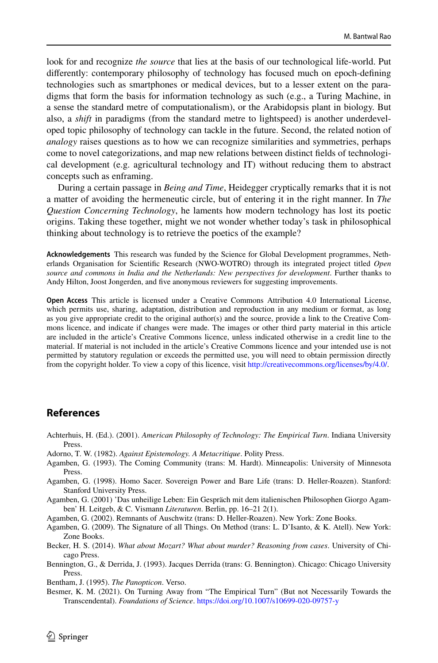look for and recognize *the source* that lies at the basis of our technological life-world. Put diferently: contemporary philosophy of technology has focused much on epoch-defning technologies such as smartphones or medical devices, but to a lesser extent on the paradigms that form the basis for information technology as such (e.g., a Turing Machine, in a sense the standard metre of computationalism), or the Arabidopsis plant in biology. But also, a *shift* in paradigms (from the standard metre to lightspeed) is another underdeveloped topic philosophy of technology can tackle in the future. Second, the related notion of *analogy* raises questions as to how we can recognize similarities and symmetries, perhaps come to novel categorizations, and map new relations between distinct felds of technological development (e.g. agricultural technology and IT) without reducing them to abstract concepts such as enframing.

During a certain passage in *Being and Time*, Heidegger cryptically remarks that it is not a matter of avoiding the hermeneutic circle, but of entering it in the right manner. In *The Question Concerning Technology*, he laments how modern technology has lost its poetic origins. Taking these together, might we not wonder whether today's task in philosophical thinking about technology is to retrieve the poetics of the example?

**Acknowledgements** This research was funded by the Science for Global Development programmes, Netherlands Organisation for Scientifc Research (NWO-WOTRO) through its integrated project titled *Open source and commons in India and the Netherlands: New perspectives for development*. Further thanks to Andy Hilton, Joost Jongerden, and fve anonymous reviewers for suggesting improvements.

**Open Access** This article is licensed under a Creative Commons Attribution 4.0 International License, which permits use, sharing, adaptation, distribution and reproduction in any medium or format, as long as you give appropriate credit to the original author(s) and the source, provide a link to the Creative Commons licence, and indicate if changes were made. The images or other third party material in this article are included in the article's Creative Commons licence, unless indicated otherwise in a credit line to the material. If material is not included in the article's Creative Commons licence and your intended use is not permitted by statutory regulation or exceeds the permitted use, you will need to obtain permission directly from the copyright holder. To view a copy of this licence, visit [http://creativecommons.org/licenses/by/4.0/.](http://creativecommons.org/licenses/by/4.0/)

## **References**

- <span id="page-19-0"></span>Achterhuis, H. (Ed.). (2001). *American Philosophy of Technology: The Empirical Turn*. Indiana University Press.
- <span id="page-19-8"></span>Adorno, T. W. (1982). *Against Epistemology. A Metacritique*. Polity Press.
- <span id="page-19-6"></span>Agamben, G. (1993). The Coming Community (trans: M. Hardt). Minneapolis: University of Minnesota Press.
- <span id="page-19-7"></span>Agamben, G. (1998). Homo Sacer. Sovereign Power and Bare Life (trans: D. Heller-Roazen). Stanford: Stanford University Press.
- <span id="page-19-3"></span>Agamben, G. (2001) 'Das unheilige Leben: Ein Gespräch mit dem italienischen Philosophen Giorgo Agamben' H. Leitgeb, & C. Vismann *Literaturen*. Berlin, pp. 16–21 2(1).
- <span id="page-19-9"></span>Agamben, G. (2002). Remnants of Auschwitz (trans: D. Heller-Roazen). New York: Zone Books.
- <span id="page-19-4"></span>Agamben, G. (2009). The Signature of all Things. On Method (trans: L. D'Isanto, & K. Atell). New York: Zone Books.
- <span id="page-19-10"></span>Becker, H. S. (2014). *What about Mozart? What about murder? Reasoning from cases*. University of Chicago Press.
- <span id="page-19-2"></span>Bennington, G., & Derrida, J. (1993). Jacques Derrida (trans: G. Bennington). Chicago: Chicago University Press.
- <span id="page-19-5"></span>Bentham, J. (1995). *The Panopticon*. Verso.
- <span id="page-19-1"></span>Besmer, K. M. (2021). On Turning Away from "The Empirical Turn" (But not Necessarily Towards the Transcendental). *Foundations of Science*. <https://doi.org/10.1007/s10699-020-09757-y>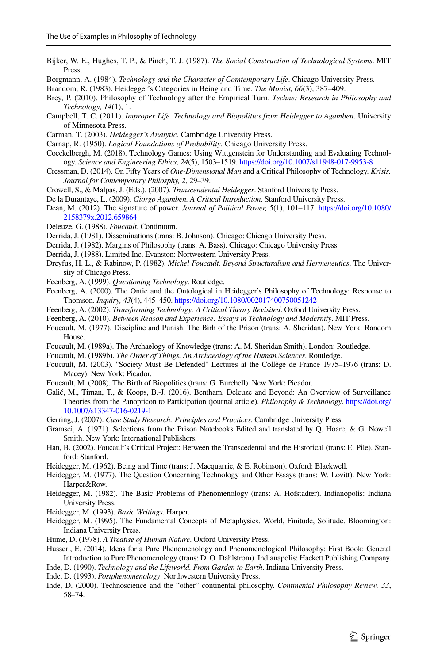- <span id="page-20-4"></span>Bijker, W. E., Hughes, T. P., & Pinch, T. J. (1987). *The Social Construction of Technological Systems*. MIT Press.
- <span id="page-20-10"></span>Borgmann, A. (1984). *Technology and the Character of Comtemporary Life*. Chicago University Press.
- <span id="page-20-19"></span>Brandom, R. (1983). Heidegger's Categories in Being and Time. *The Monist, 66*(3), 387–409.
- <span id="page-20-0"></span>Brey, P. (2010). Philosophy of Technology after the Empirical Turn. *Techne: Research in Philosophy and Technology, 14*(1), 1.
- <span id="page-20-37"></span>Campbell, T. C. (2011). *Improper Life. Technology and Biopolitics from Heidegger to Agamben*. University of Minnesota Press.
- <span id="page-20-16"></span>Carman, T. (2003). *Heidegger's Analytic*. Cambridge University Press.
- <span id="page-20-35"></span>Carnap, R. (1950). *Logical Foundations of Probability*. Chicago University Press.
- <span id="page-20-6"></span>Coeckelbergh, M. (2018). Technology Games: Using Wittgenstein for Understanding and Evaluating Technology. *Science and Engineering Ethics, 24*(5), 1503–1519.<https://doi.org/10.1007/s11948-017-9953-8>
- <span id="page-20-8"></span>Cressman, D. (2014). On Fifty Years of *One-Dimensional Man* and a Critical Philosophy of Technology. *Krisis. Journal for Contemporary Philosphy, 2*, 29–39.
- <span id="page-20-15"></span>Crowell, S., & Malpas, J. (Eds.). (2007). *Transcendental Heidegger*. Stanford University Press.
- <span id="page-20-32"></span>De la Durantaye, L. (2009). *Giorgo Agamben. A Critical Introduction*. Stanford University Press.
- <span id="page-20-26"></span>Dean, M. (2012). The signature of power. *Journal of Political Power, 5*(1), 101–117. [https://doi.org/10.1080/](https://doi.org/10.1080/2158379x.2012.659864) [2158379x.2012.659864](https://doi.org/10.1080/2158379x.2012.659864)
- <span id="page-20-30"></span>Deleuze, G. (1988). *Foucault*. Continuum.
- Derrida, J. (1981). Disseminations (trans: B. Johnson). Chicago: Chicago University Press.
- <span id="page-20-14"></span>Derrida, J. (1982). Margins of Philosophy (trans: A. Bass). Chicago: Chicago University Press.
- <span id="page-20-21"></span>Derrida, J. (1988). Limited Inc. Evanston: Nortwestern University Press.
- <span id="page-20-25"></span>Dreyfus, H. L., & Rabinow, P. (1982). *Michel Foucault. Beyond Structuralism and Hermeneutics*. The University of Chicago Press.
- <span id="page-20-5"></span>Feenberg, A. (1999). *Questioning Technology*. Routledge.
- <span id="page-20-20"></span>Feenberg, A. (2000). The Ontic and the Ontological in Heidegger's Philosophy of Technology: Response to Thomson. *Inquiry, 43*(4), 445–450.<https://doi.org/10.1080/002017400750051242>
- <span id="page-20-3"></span>Feenberg, A. (2002). *Transforming Technology: A Critical Theory Revisited*. Oxford University Press.
- <span id="page-20-9"></span>Feenberg, A. (2010). *Between Reason and Experience: Essays in Technology and Modernity*. MIT Press.
- <span id="page-20-29"></span>Foucault, M. (1977). Discipline and Punish. The Birh of the Prison (trans: A. Sheridan). New York: Random House.
- <span id="page-20-24"></span>Foucault, M. (1989a). The Archaelogy of Knowledge (trans: A. M. Sheridan Smith). London: Routledge.
- <span id="page-20-23"></span>Foucault, M. (1989b). *The Order of Things. An Archaeology of the Human Sciences*. Routledge.
- <span id="page-20-31"></span>Foucault, M. (2003). "Society Must Be Defended" Lectures at the Collège de France 1975–1976 (trans: D. Macey). New York: Picador.
- <span id="page-20-22"></span>Foucault, M. (2008). The Birth of Biopolitics (trans: G. Burchell). New York: Picador.
- <span id="page-20-27"></span>Galič, M., Timan, T., & Koops, B.-J. (2016). Bentham, Deleuze and Beyond: An Overview of Surveillance Theories from the Panopticon to Participation (journal article). *Philosophy & Technology*. [https://doi.org/](https://doi.org/10.1007/s13347-016-0219-1) [10.1007/s13347-016-0219-1](https://doi.org/10.1007/s13347-016-0219-1)
- <span id="page-20-1"></span>Gerring, J. (2007). *Case Study Research: Principles and Practices*. Cambridge University Press.
- <span id="page-20-33"></span>Gramsci, A. (1971). Selections from the Prison Notebooks Edited and translated by Q. Hoare, & G. Nowell Smith. New York: International Publishers.
- <span id="page-20-28"></span>Han, B. (2002). Foucault's Critical Project: Between the Transcedental and the Historical (trans: E. Pile). Stanford: Stanford.
- <span id="page-20-13"></span>Heidegger, M. (1962). Being and Time (trans: J. Macquarrie, & E. Robinson). Oxford: Blackwell.
- <span id="page-20-11"></span>Heidegger, M. (1977). The Question Concerning Technology and Other Essays (trans: W. Lovitt). New York: Harper&Row.
- <span id="page-20-12"></span>Heidegger, M. (1982). The Basic Problems of Phenomenology (trans: A. Hofstadter). Indianopolis: Indiana University Press.
- <span id="page-20-18"></span>Heidegger, M. (1993). *Basic Writings*. Harper.
- <span id="page-20-17"></span>Heidegger, M. (1995). The Fundamental Concepts of Metaphysics. World, Finitude, Solitude. Bloomington: Indiana University Press.
- <span id="page-20-34"></span>Hume, D. (1978). *A Treatise of Human Nature*. Oxford University Press.
- <span id="page-20-36"></span>Husserl, E. (2014). Ideas for a Pure Phenomenology and Phenomenological Philosophy: First Book: General Introduction to Pure Phenomenology (trans: D. O. Dahlstrom). Indianapolis: Hackett Publishing Company.
- Ihde, D. (1990). *Technology and the Lifeworld. From Garden to Earth*. Indiana University Press.
- <span id="page-20-2"></span>Ihde, D. (1993). *Postphenomenology*. Northwestern University Press.
- <span id="page-20-7"></span>Ihde, D. (2000). Technoscience and the "other" continental philosophy. *Continental Philosophy Review, 33*, 58–74.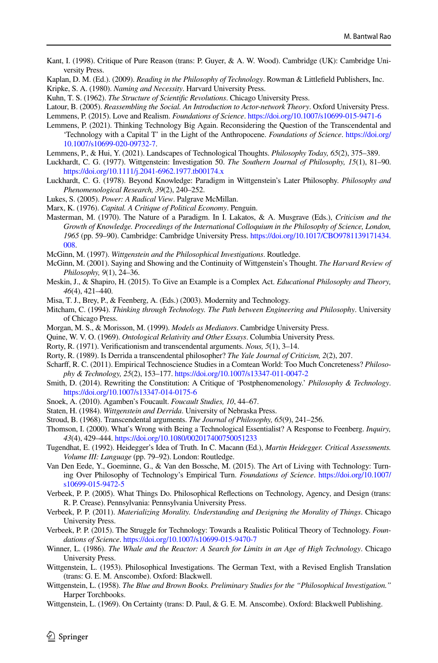- <span id="page-21-12"></span>Kant, I. (1998). Critique of Pure Reason (trans: P. Guyer, & A. W. Wood). Cambridge (UK): Cambridge University Press.
- <span id="page-21-29"></span><span id="page-21-24"></span>Kaplan, D. M. (Ed.). (2009). *Reading in the Philosophy of Technology*. Rowman & Littlefeld Publishers, Inc. Kripke, S. A. (1980). *Naming and Necessity*. Harvard University Press.
- <span id="page-21-10"></span>Kuhn, T. S. (1962). *The Structure of Scientifc Revolutions*. Chicago University Press.

- <span id="page-21-9"></span>Lemmens, P. (2015). Love and Realism. *Foundations of Science*. <https://doi.org/10.1007/s10699-015-9471-6>
- <span id="page-21-15"></span>Lemmens, P. (2021). Thinking Technology Big Again. Reconsidering the Question of the Transcendental and 'Technology with a Capital T' in the Light of the Anthropocene. *Foundations of Science*. [https://doi.org/](https://doi.org/10.1007/s10699-020-09732-7) [10.1007/s10699-020-09732-7](https://doi.org/10.1007/s10699-020-09732-7).
- <span id="page-21-3"></span>Lemmens, P., & Hui, Y. (2021). Landscapes of Technological Thoughts. *Philosophy Today, 65*(2), 375–389.
- <span id="page-21-25"></span>Luckhardt, C. G. (1977). Wittgenstein: Investigation 50. *The Southern Journal of Philosophy, 15*(1), 81–90. <https://doi.org/10.1111/j.2041-6962.1977.tb00174.x>
- <span id="page-21-27"></span>Luckhardt, C. G. (1978). Beyond Knowledge: Paradigm in Wittgenstein's Later Philosophy. *Philosophy and Phenomenological Research, 39*(2), 240–252.
- <span id="page-21-30"></span>Lukes, S. (2005). *Power: A Radical View*. Palgrave McMillan.
- <span id="page-21-31"></span>Marx, K. (1976). *Capital. A Critique of Political Economy*. Penguin.
- <span id="page-21-11"></span>Masterman, M. (1970). The Nature of a Paradigm. In I. Lakatos, & A. Musgrave (Eds.), *Criticism and the Growth of Knowledge. Proceedings of the International Colloquium in the Philosophy of Science, London, 1965* (pp. 59–90). Cambridge: Cambridge University Press. [https://doi.org/10.1017/CBO9781139171434.](https://doi.org/10.1017/CBO9781139171434.008) [008](https://doi.org/10.1017/CBO9781139171434.008).
- <span id="page-21-23"></span>McGinn, M. (1997). *Wittgenstein and the Philosophical Investigations*. Routledge.
- <span id="page-21-21"></span>McGinn, M. (2001). Saying and Showing and the Continuity of Wittgenstein's Thought. *The Harvard Review of Philosophy, 9*(1), 24–36.
- <span id="page-21-35"></span>Meskin, J., & Shapiro, H. (2015). To Give an Example is a Complex Act. *Educational Philosophy and Theory, 46*(4), 421–440.
- Misa, T. J., Brey, P., & Feenberg, A. (Eds.) (2003). Modernity and Technology.
- <span id="page-21-2"></span>Mitcham, C. (1994). *Thinking through Technology. The Path between Engineering and Philosophy*. University of Chicago Press.
- <span id="page-21-33"></span>Morgan, M. S., & Morisson, M. (1999). *Models as Mediators*. Cambridge University Press.
- <span id="page-21-28"></span>Quine, W. V. O. (1969). *Ontological Relativity and Other Essays*. Columbia University Press.
- <span id="page-21-13"></span>Rorty, R. (1971). Verifcationism and transcendental arguments. *Nous, 5*(1), 3–14.
- <span id="page-21-26"></span>Rorty, R. (1989). Is Derrida a transcendental philosopher? *The Yale Journal of Criticism, 2*(2), 207.
- <span id="page-21-7"></span>Scharf, R. C. (2011). Empirical Technoscience Studies in a Comtean World: Too Much Concreteness? *Philosophy & Technology, 25*(2), 153–177.<https://doi.org/10.1007/s13347-011-0047-2>
- <span id="page-21-8"></span>Smith, D. (2014). Rewriting the Constitution: A Critique of 'Postphenomenology.' *Philosophy & Technology*. <https://doi.org/10.1007/s13347-014-0175-6>
- <span id="page-21-34"></span>Snoek, A. (2010). Agamben's Foucault. *Foucault Studies, 10*, 44–67.
- <span id="page-21-19"></span>Staten, H. (1984). *Wittgenstein and Derrida*. University of Nebraska Press.
- <span id="page-21-14"></span>Stroud, B. (1968). Transcendental arguments. *The Journal of Philosophy, 65*(9), 241–256.
- <span id="page-21-18"></span>Thomson, I. (2000). What's Wrong with Being a Technological Essentialist? A Response to Feenberg. *Inquiry, 43*(4), 429–444.<https://doi.org/10.1080/002017400750051233>
- <span id="page-21-16"></span>Tugendhat, E. (1992). Heidegger's Idea of Truth. In C. Macann (Ed.), *Martin Heidegger. Critical Assessments. Volume III: Language* (pp. 79–92). London: Routledge.
- <span id="page-21-6"></span>Van Den Eede, Y., Goeminne, G., & Van den Bossche, M. (2015). The Art of Living with Technology: Turning Over Philosophy of Technology's Empirical Turn. *Foundations of Science*. [https://doi.org/10.1007/](https://doi.org/10.1007/s10699-015-9472-5) [s10699-015-9472-5](https://doi.org/10.1007/s10699-015-9472-5)
- <span id="page-21-17"></span>Verbeek, P. P. (2005). What Things Do. Philosophical Refections on Technology, Agency, and Design (trans: R. P. Crease). Pennsylvania: Pennsylvania University Press.
- <span id="page-21-32"></span>Verbeek, P. P. (2011). *Materializing Morality. Understanding and Designing the Morality of Things*. Chicago University Press.
- <span id="page-21-5"></span>Verbeek, P. P. (2015). The Struggle for Technology: Towards a Realistic Political Theory of Technology. *Foundations of Science*. <https://doi.org/10.1007/s10699-015-9470-7>
- <span id="page-21-1"></span>Winner, L. (1986). *The Whale and the Reactor: A Search for Limits in an Age of High Technology*. Chicago University Press.
- <span id="page-21-0"></span>Wittgenstein, L. (1953). Philosophical Investigations. The German Text, with a Revised English Translation (trans: G. E. M. Anscombe). Oxford: Blackwell.
- <span id="page-21-22"></span>Wittgenstein, L. (1958). *The Blue and Brown Books. Preliminary Studies for the "Philosophical Investigation."* Harper Torchbooks.
- <span id="page-21-20"></span>Wittgenstein, L. (1969). On Certainty (trans: D. Paul, & G. E. M. Anscombe). Oxford: Blackwell Publishing.

<span id="page-21-4"></span>Latour, B. (2005). *Reassembling the Social. An Introduction to Actor-network Theory*. Oxford University Press.